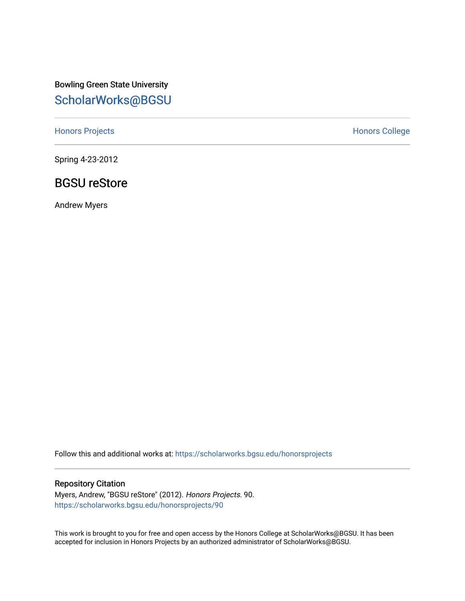Bowling Green State University [ScholarWorks@BGSU](https://scholarworks.bgsu.edu/) 

[Honors Projects](https://scholarworks.bgsu.edu/honorsprojects) **Honors** College

Spring 4-23-2012

### BGSU reStore

Andrew Myers

Follow this and additional works at: [https://scholarworks.bgsu.edu/honorsprojects](https://scholarworks.bgsu.edu/honorsprojects?utm_source=scholarworks.bgsu.edu%2Fhonorsprojects%2F90&utm_medium=PDF&utm_campaign=PDFCoverPages) 

#### Repository Citation

Myers, Andrew, "BGSU reStore" (2012). Honors Projects. 90. [https://scholarworks.bgsu.edu/honorsprojects/90](https://scholarworks.bgsu.edu/honorsprojects/90?utm_source=scholarworks.bgsu.edu%2Fhonorsprojects%2F90&utm_medium=PDF&utm_campaign=PDFCoverPages)

This work is brought to you for free and open access by the Honors College at ScholarWorks@BGSU. It has been accepted for inclusion in Honors Projects by an authorized administrator of ScholarWorks@BGSU.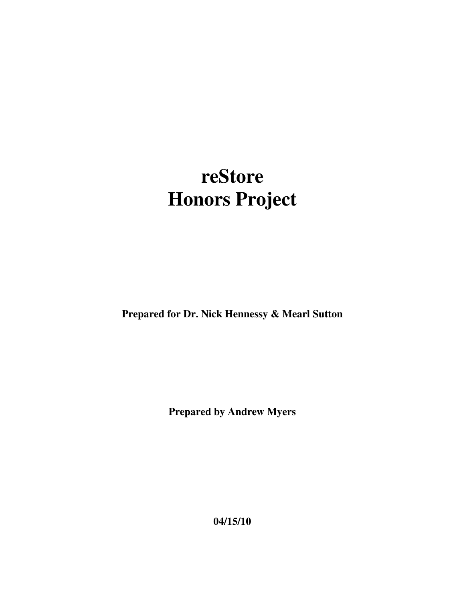# **reStore Honors Project**

**Prepared for Dr. Nick Hennessy & Mearl Sutton** 

**Prepared by Andrew Myers** 

**04/15/10**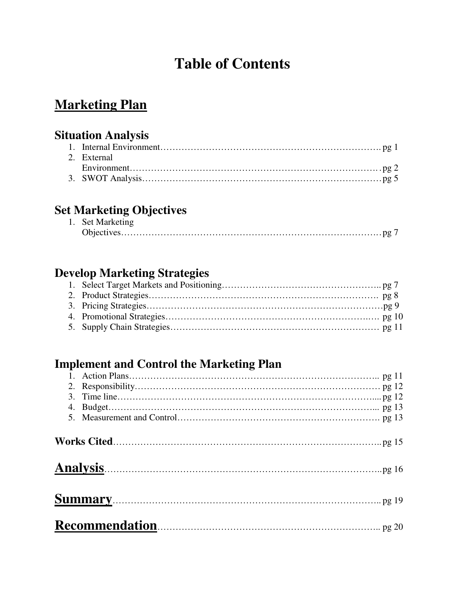## **Table of Contents**

## **Marketing Plan**

### **Situation Analysis**

| 2. External |
|-------------|
|             |
|             |

## **Set Marketing Objectives**

| 1. Set Marketing |  |
|------------------|--|
|                  |  |

### **Develop Marketing Strategies**

## **Implement and Control the Marketing Plan**

| An <u>alysis and the set of the set of the set of the set of the set of the set of the set of the set of the set o</u> |  |
|------------------------------------------------------------------------------------------------------------------------|--|
|                                                                                                                        |  |
|                                                                                                                        |  |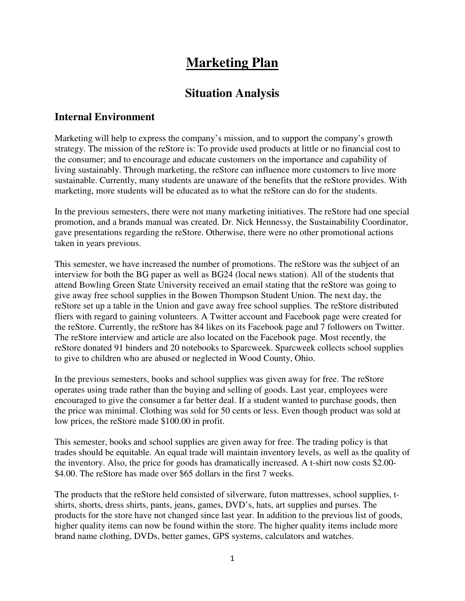## **Marketing Plan**

### **Situation Analysis**

#### **Internal Environment**

Marketing will help to express the company's mission, and to support the company's growth strategy. The mission of the reStore is: To provide used products at little or no financial cost to the consumer; and to encourage and educate customers on the importance and capability of living sustainably. Through marketing, the reStore can influence more customers to live more sustainable. Currently, many students are unaware of the benefits that the reStore provides. With marketing, more students will be educated as to what the reStore can do for the students.

In the previous semesters, there were not many marketing initiatives. The reStore had one special promotion, and a brands manual was created. Dr. Nick Hennessy, the Sustainability Coordinator, gave presentations regarding the reStore. Otherwise, there were no other promotional actions taken in years previous.

This semester, we have increased the number of promotions. The reStore was the subject of an interview for both the BG paper as well as BG24 (local news station). All of the students that attend Bowling Green State University received an email stating that the reStore was going to give away free school supplies in the Bowen Thompson Student Union. The next day, the reStore set up a table in the Union and gave away free school supplies. The reStore distributed fliers with regard to gaining volunteers. A Twitter account and Facebook page were created for the reStore. Currently, the reStore has 84 likes on its Facebook page and 7 followers on Twitter. The reStore interview and article are also located on the Facebook page. Most recently, the reStore donated 91 binders and 20 notebooks to Sparcweek. Sparcweek collects school supplies to give to children who are abused or neglected in Wood County, Ohio.

In the previous semesters, books and school supplies was given away for free. The reStore operates using trade rather than the buying and selling of goods. Last year, employees were encouraged to give the consumer a far better deal. If a student wanted to purchase goods, then the price was minimal. Clothing was sold for 50 cents or less. Even though product was sold at low prices, the reStore made \$100.00 in profit.

This semester, books and school supplies are given away for free. The trading policy is that trades should be equitable. An equal trade will maintain inventory levels, as well as the quality of the inventory. Also, the price for goods has dramatically increased. A t-shirt now costs \$2.00- \$4.00. The reStore has made over \$65 dollars in the first 7 weeks.

The products that the reStore held consisted of silverware, futon mattresses, school supplies, tshirts, shorts, dress shirts, pants, jeans, games, DVD's, hats, art supplies and purses. The products for the store have not changed since last year. In addition to the previous list of goods, higher quality items can now be found within the store. The higher quality items include more brand name clothing, DVDs, better games, GPS systems, calculators and watches.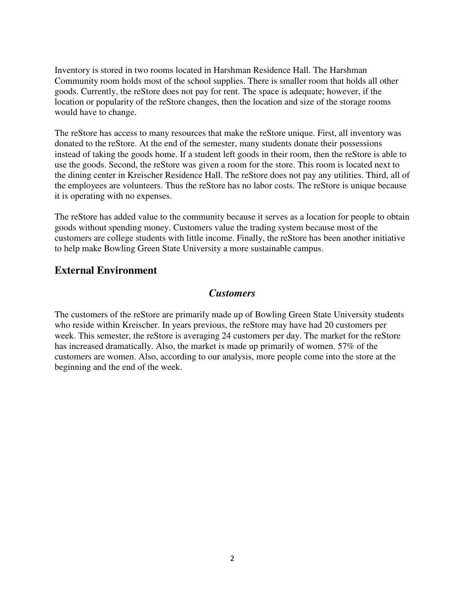Inventory is stored in two rooms located in Harshman Residence Hall. The Harshman Community room holds most of the school supplies. There is smaller room that holds all other goods. Currently, the reStore does not pay for rent. The space is adequate; however, if the location or popularity of the reStore changes, then the location and size of the storage rooms would have to change.

The reStore has access to many resources that make the reStore unique. First, all inventory was donated to the reStore. At the end of the semester, many students donate their possessions instead of taking the goods home. If a student left goods in their room, then the reStore is able to use the goods. Second, the reStore was given a room for the store. This room is located next to the dining center in Kreischer Residence Hall. The reStore does not pay any utilities. Third, all of the employees are volunteers. Thus the reStore has no labor costs. The reStore is unique because it is operating with no expenses.

The reStore has added value to the community because it serves as a location for people to obtain goods without spending money. Customers value the trading system because most of the customers are college students with little income. Finally, the reStore has been another initiative to help make Bowling Green State University a more sustainable campus.

#### **External Environment**

#### *Customers*

The customers of the reStore are primarily made up of Bowling Green State University students who reside within Kreischer. In years previous, the reStore may have had 20 customers per week. This semester, the reStore is averaging 24 customers per day. The market for the reStore has increased dramatically. Also, the market is made up primarily of women. 57% of the customers are women. Also, according to our analysis, more people come into the store at the beginning and the end of the week.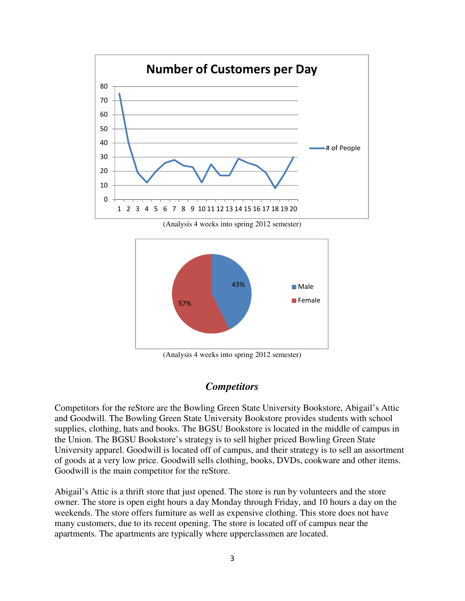

(Analysis 4 weeks into spring 2012 semester)



(Analysis 4 weeks into spring 2012 semester)

#### *Competitors*

Competitors for the reStore are the Bowling Green State University Bookstore, Abigail's Attic and Goodwill. The Bowling Green State University Bookstore provides students with school supplies, clothing, hats and books. The BGSU Bookstore is located in the middle of campus in the Union. The BGSU Bookstore's strategy is to sell higher priced Bowling Green State University apparel. Goodwill is located off of campus, and their strategy is to sell an assortment of goods at a very low price. Goodwill sells clothing, books, DVDs, cookware and other items. Goodwill is the main competitor for the reStore.

Abigail's Attic is a thrift store that just opened. The store is run by volunteers and the store owner. The store is open eight hours a day Monday through Friday, and 10 hours a day on the weekends. The store offers furniture as well as expensive clothing. This store does not have many customers, due to its recent opening. The store is located off of campus near the apartments. The apartments are typically where upperclassmen are located.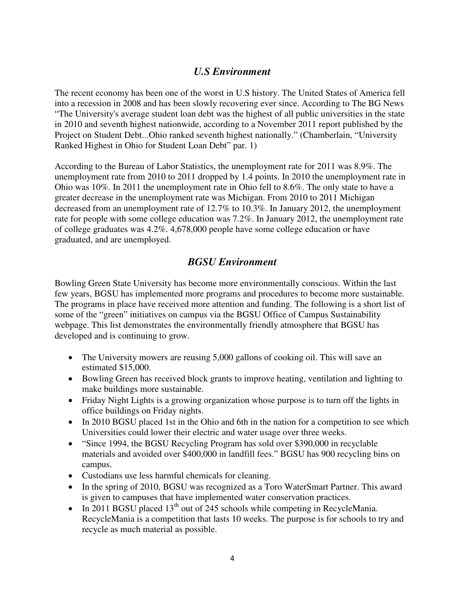#### *U.S Environment*

The recent economy has been one of the worst in U.S history. The United States of America fell into a recession in 2008 and has been slowly recovering ever since. According to The BG News "The University's average student loan debt was the highest of all public universities in the state in 2010 and seventh highest nationwide, according to a November 2011 report published by the Project on Student Debt...Ohio ranked seventh highest nationally." (Chamberlain, "University Ranked Highest in Ohio for Student Loan Debt" par. 1)

According to the Bureau of Labor Statistics, the unemployment rate for 2011 was 8.9%. The unemployment rate from 2010 to 2011 dropped by 1.4 points. In 2010 the unemployment rate in Ohio was 10%. In 2011 the unemployment rate in Ohio fell to 8.6%. The only state to have a greater decrease in the unemployment rate was Michigan. From 2010 to 2011 Michigan decreased from an unemployment rate of 12.7% to 10.3%. In January 2012, the unemployment rate for people with some college education was 7.2%. In January 2012, the unemployment rate of college graduates was 4.2%. 4,678,000 people have some college education or have graduated, and are unemployed.

#### *BGSU Environment*

Bowling Green State University has become more environmentally conscious. Within the last few years, BGSU has implemented more programs and procedures to become more sustainable. The programs in place have received more attention and funding. The following is a short list of some of the "green" initiatives on campus via the BGSU Office of Campus Sustainability webpage. This list demonstrates the environmentally friendly atmosphere that BGSU has developed and is continuing to grow.

- The University mowers are reusing 5,000 gallons of cooking oil. This will save an estimated \$15,000.
- Bowling Green has received block grants to improve heating, ventilation and lighting to make buildings more sustainable.
- Friday Night Lights is a growing organization whose purpose is to turn off the lights in office buildings on Friday nights.
- In 2010 BGSU placed 1st in the Ohio and 6th in the nation for a competition to see which Universities could lower their electric and water usage over three weeks.
- "Since 1994, the BGSU Recycling Program has sold over \$390,000 in recyclable materials and avoided over \$400,000 in landfill fees." BGSU has 900 recycling bins on campus.
- Custodians use less harmful chemicals for cleaning.
- In the spring of 2010, BGSU was recognized as a Toro WaterSmart Partner. This award is given to campuses that have implemented water conservation practices.
- In 2011 BGSU placed  $13<sup>th</sup>$  out of 245 schools while competing in RecycleMania. RecycleMania is a competition that lasts 10 weeks. The purpose is for schools to try and recycle as much material as possible.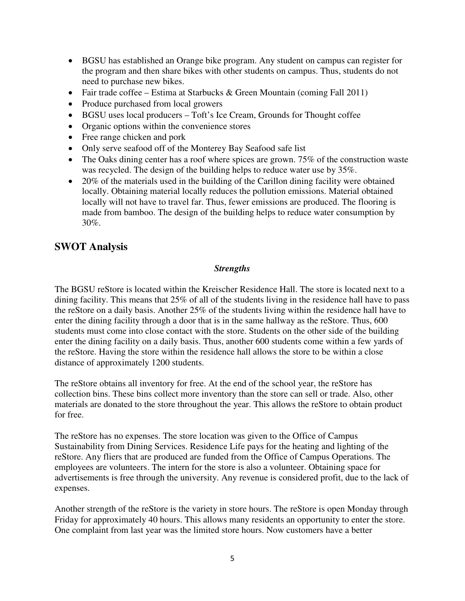- BGSU has established an Orange bike program. Any student on campus can register for the program and then share bikes with other students on campus. Thus, students do not need to purchase new bikes.
- Fair trade coffee Estima at Starbucks & Green Mountain (coming Fall 2011)
- Produce purchased from local growers
- BGSU uses local producers Toft's Ice Cream, Grounds for Thought coffee
- Organic options within the convenience stores
- Free range chicken and pork
- Only serve seafood off of the Monterey Bay Seafood safe list
- The Oaks dining center has a roof where spices are grown. 75% of the construction waste was recycled. The design of the building helps to reduce water use by 35%.
- 20% of the materials used in the building of the Carillon dining facility were obtained locally. Obtaining material locally reduces the pollution emissions. Material obtained locally will not have to travel far. Thus, fewer emissions are produced. The flooring is made from bamboo. The design of the building helps to reduce water consumption by 30%.

#### **SWOT Analysis**

#### *Strengths*

The BGSU reStore is located within the Kreischer Residence Hall. The store is located next to a dining facility. This means that 25% of all of the students living in the residence hall have to pass the reStore on a daily basis. Another 25% of the students living within the residence hall have to enter the dining facility through a door that is in the same hallway as the reStore. Thus, 600 students must come into close contact with the store. Students on the other side of the building enter the dining facility on a daily basis. Thus, another 600 students come within a few yards of the reStore. Having the store within the residence hall allows the store to be within a close distance of approximately 1200 students.

The reStore obtains all inventory for free. At the end of the school year, the reStore has collection bins. These bins collect more inventory than the store can sell or trade. Also, other materials are donated to the store throughout the year. This allows the reStore to obtain product for free.

The reStore has no expenses. The store location was given to the Office of Campus Sustainability from Dining Services. Residence Life pays for the heating and lighting of the reStore. Any fliers that are produced are funded from the Office of Campus Operations. The employees are volunteers. The intern for the store is also a volunteer. Obtaining space for advertisements is free through the university. Any revenue is considered profit, due to the lack of expenses.

Another strength of the reStore is the variety in store hours. The reStore is open Monday through Friday for approximately 40 hours. This allows many residents an opportunity to enter the store. One complaint from last year was the limited store hours. Now customers have a better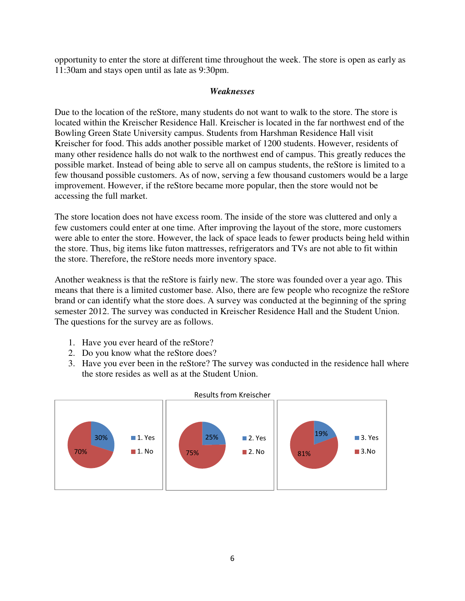opportunity to enter the store at different time throughout the week. The store is open as early as 11:30am and stays open until as late as 9:30pm.

#### *Weaknesses*

Due to the location of the reStore, many students do not want to walk to the store. The store is located within the Kreischer Residence Hall. Kreischer is located in the far northwest end of the Bowling Green State University campus. Students from Harshman Residence Hall visit Kreischer for food. This adds another possible market of 1200 students. However, residents of many other residence halls do not walk to the northwest end of campus. This greatly reduces the possible market. Instead of being able to serve all on campus students, the reStore is limited to a few thousand possible customers. As of now, serving a few thousand customers would be a large improvement. However, if the reStore became more popular, then the store would not be accessing the full market.

The store location does not have excess room. The inside of the store was cluttered and only a few customers could enter at one time. After improving the layout of the store, more customers were able to enter the store. However, the lack of space leads to fewer products being held within the store. Thus, big items like futon mattresses, refrigerators and TVs are not able to fit within the store. Therefore, the reStore needs more inventory space.

Another weakness is that the reStore is fairly new. The store was founded over a year ago. This means that there is a limited customer base. Also, there are few people who recognize the reStore brand or can identify what the store does. A survey was conducted at the beginning of the spring semester 2012. The survey was conducted in Kreischer Residence Hall and the Student Union. The questions for the survey are as follows.

- 1. Have you ever heard of the reStore?
- 2. Do you know what the reStore does?
- 3. Have you ever been in the reStore? The survey was conducted in the residence hall where the store resides as well as at the Student Union.

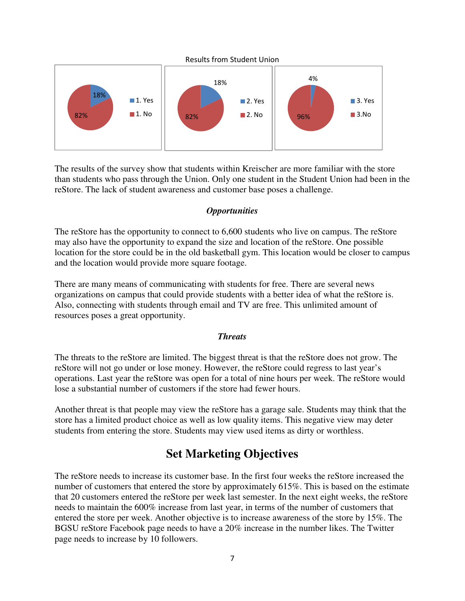

The results of the survey show that students within Kreischer are more familiar with the store than students who pass through the Union. Only one student in the Student Union had been in the reStore. The lack of student awareness and customer base poses a challenge.

#### *Opportunities*

The reStore has the opportunity to connect to 6,600 students who live on campus. The reStore may also have the opportunity to expand the size and location of the reStore. One possible location for the store could be in the old basketball gym. This location would be closer to campus and the location would provide more square footage.

There are many means of communicating with students for free. There are several news organizations on campus that could provide students with a better idea of what the reStore is. Also, connecting with students through email and TV are free. This unlimited amount of resources poses a great opportunity.

#### *Threats*

The threats to the reStore are limited. The biggest threat is that the reStore does not grow. The reStore will not go under or lose money. However, the reStore could regress to last year's operations. Last year the reStore was open for a total of nine hours per week. The reStore would lose a substantial number of customers if the store had fewer hours.

Another threat is that people may view the reStore has a garage sale. Students may think that the store has a limited product choice as well as low quality items. This negative view may deter students from entering the store. Students may view used items as dirty or worthless.

### **Set Marketing Objectives**

The reStore needs to increase its customer base. In the first four weeks the reStore increased the number of customers that entered the store by approximately 615%. This is based on the estimate that 20 customers entered the reStore per week last semester. In the next eight weeks, the reStore needs to maintain the 600% increase from last year, in terms of the number of customers that entered the store per week. Another objective is to increase awareness of the store by 15%. The BGSU reStore Facebook page needs to have a 20% increase in the number likes. The Twitter page needs to increase by 10 followers.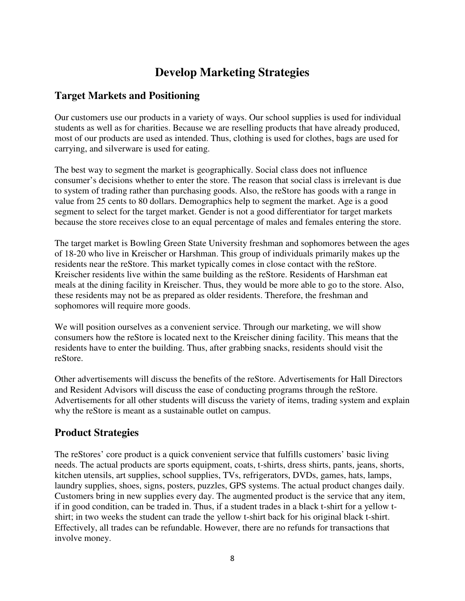### **Develop Marketing Strategies**

### **Target Markets and Positioning**

Our customers use our products in a variety of ways. Our school supplies is used for individual students as well as for charities. Because we are reselling products that have already produced, most of our products are used as intended. Thus, clothing is used for clothes, bags are used for carrying, and silverware is used for eating.

The best way to segment the market is geographically. Social class does not influence consumer's decisions whether to enter the store. The reason that social class is irrelevant is due to system of trading rather than purchasing goods. Also, the reStore has goods with a range in value from 25 cents to 80 dollars. Demographics help to segment the market. Age is a good segment to select for the target market. Gender is not a good differentiator for target markets because the store receives close to an equal percentage of males and females entering the store.

The target market is Bowling Green State University freshman and sophomores between the ages of 18-20 who live in Kreischer or Harshman. This group of individuals primarily makes up the residents near the reStore. This market typically comes in close contact with the reStore. Kreischer residents live within the same building as the reStore. Residents of Harshman eat meals at the dining facility in Kreischer. Thus, they would be more able to go to the store. Also, these residents may not be as prepared as older residents. Therefore, the freshman and sophomores will require more goods.

We will position ourselves as a convenient service. Through our marketing, we will show consumers how the reStore is located next to the Kreischer dining facility. This means that the residents have to enter the building. Thus, after grabbing snacks, residents should visit the reStore.

Other advertisements will discuss the benefits of the reStore. Advertisements for Hall Directors and Resident Advisors will discuss the ease of conducting programs through the reStore. Advertisements for all other students will discuss the variety of items, trading system and explain why the reStore is meant as a sustainable outlet on campus.

#### **Product Strategies**

The reStores' core product is a quick convenient service that fulfills customers' basic living needs. The actual products are sports equipment, coats, t-shirts, dress shirts, pants, jeans, shorts, kitchen utensils, art supplies, school supplies, TVs, refrigerators, DVDs, games, hats, lamps, laundry supplies, shoes, signs, posters, puzzles, GPS systems. The actual product changes daily. Customers bring in new supplies every day. The augmented product is the service that any item, if in good condition, can be traded in. Thus, if a student trades in a black t-shirt for a yellow tshirt; in two weeks the student can trade the yellow t-shirt back for his original black t-shirt. Effectively, all trades can be refundable. However, there are no refunds for transactions that involve money.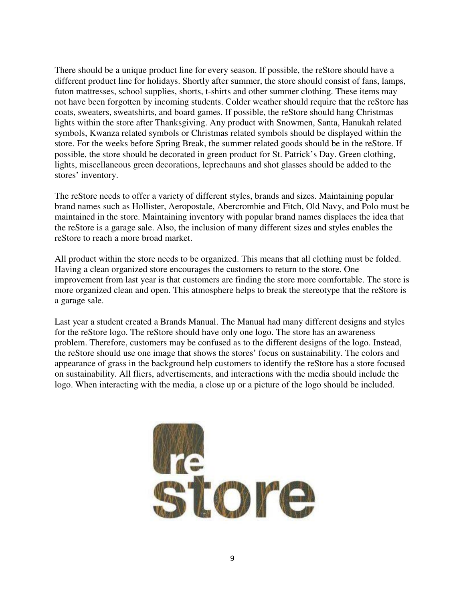There should be a unique product line for every season. If possible, the reStore should have a different product line for holidays. Shortly after summer, the store should consist of fans, lamps, futon mattresses, school supplies, shorts, t-shirts and other summer clothing. These items may not have been forgotten by incoming students. Colder weather should require that the reStore has coats, sweaters, sweatshirts, and board games. If possible, the reStore should hang Christmas lights within the store after Thanksgiving. Any product with Snowmen, Santa, Hanukah related symbols, Kwanza related symbols or Christmas related symbols should be displayed within the store. For the weeks before Spring Break, the summer related goods should be in the reStore. If possible, the store should be decorated in green product for St. Patrick's Day. Green clothing, lights, miscellaneous green decorations, leprechauns and shot glasses should be added to the stores' inventory.

The reStore needs to offer a variety of different styles, brands and sizes. Maintaining popular brand names such as Hollister, Aeropostale, Abercrombie and Fitch, Old Navy, and Polo must be maintained in the store. Maintaining inventory with popular brand names displaces the idea that the reStore is a garage sale. Also, the inclusion of many different sizes and styles enables the reStore to reach a more broad market.

All product within the store needs to be organized. This means that all clothing must be folded. Having a clean organized store encourages the customers to return to the store. One improvement from last year is that customers are finding the store more comfortable. The store is more organized clean and open. This atmosphere helps to break the stereotype that the reStore is a garage sale.

Last year a student created a Brands Manual. The Manual had many different designs and styles for the reStore logo. The reStore should have only one logo. The store has an awareness problem. Therefore, customers may be confused as to the different designs of the logo. Instead, the reStore should use one image that shows the stores' focus on sustainability. The colors and appearance of grass in the background help customers to identify the reStore has a store focused on sustainability. All fliers, advertisements, and interactions with the media should include the logo. When interacting with the media, a close up or a picture of the logo should be included.

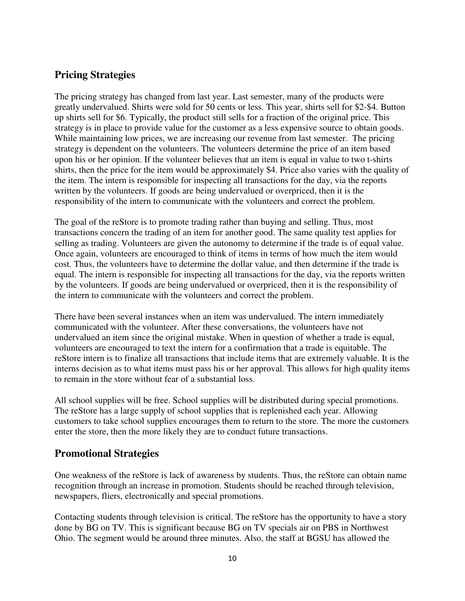#### **Pricing Strategies**

The pricing strategy has changed from last year. Last semester, many of the products were greatly undervalued. Shirts were sold for 50 cents or less. This year, shirts sell for \$2-\$4. Button up shirts sell for \$6. Typically, the product still sells for a fraction of the original price. This strategy is in place to provide value for the customer as a less expensive source to obtain goods. While maintaining low prices, we are increasing our revenue from last semester. The pricing strategy is dependent on the volunteers. The volunteers determine the price of an item based upon his or her opinion. If the volunteer believes that an item is equal in value to two t-shirts shirts, then the price for the item would be approximately \$4. Price also varies with the quality of the item. The intern is responsible for inspecting all transactions for the day, via the reports written by the volunteers. If goods are being undervalued or overpriced, then it is the responsibility of the intern to communicate with the volunteers and correct the problem.

The goal of the reStore is to promote trading rather than buying and selling. Thus, most transactions concern the trading of an item for another good. The same quality test applies for selling as trading. Volunteers are given the autonomy to determine if the trade is of equal value. Once again, volunteers are encouraged to think of items in terms of how much the item would cost. Thus, the volunteers have to determine the dollar value, and then determine if the trade is equal. The intern is responsible for inspecting all transactions for the day, via the reports written by the volunteers. If goods are being undervalued or overpriced, then it is the responsibility of the intern to communicate with the volunteers and correct the problem.

There have been several instances when an item was undervalued. The intern immediately communicated with the volunteer. After these conversations, the volunteers have not undervalued an item since the original mistake. When in question of whether a trade is equal, volunteers are encouraged to text the intern for a confirmation that a trade is equitable. The reStore intern is to finalize all transactions that include items that are extremely valuable. It is the interns decision as to what items must pass his or her approval. This allows for high quality items to remain in the store without fear of a substantial loss.

All school supplies will be free. School supplies will be distributed during special promotions. The reStore has a large supply of school supplies that is replenished each year. Allowing customers to take school supplies encourages them to return to the store. The more the customers enter the store, then the more likely they are to conduct future transactions.

#### **Promotional Strategies**

One weakness of the reStore is lack of awareness by students. Thus, the reStore can obtain name recognition through an increase in promotion. Students should be reached through television, newspapers, fliers, electronically and special promotions.

Contacting students through television is critical. The reStore has the opportunity to have a story done by BG on TV. This is significant because BG on TV specials air on PBS in Northwest Ohio. The segment would be around three minutes. Also, the staff at BGSU has allowed the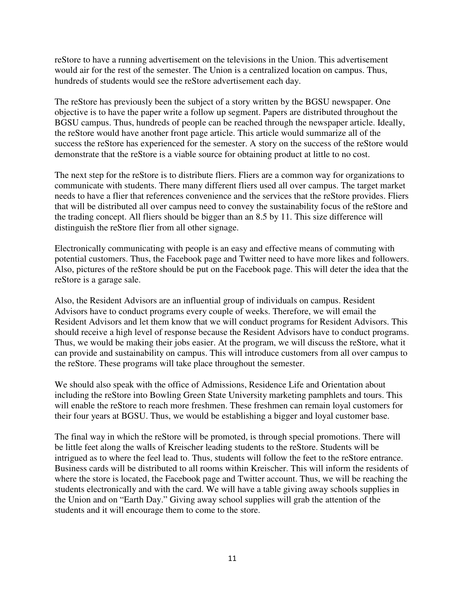reStore to have a running advertisement on the televisions in the Union. This advertisement would air for the rest of the semester. The Union is a centralized location on campus. Thus, hundreds of students would see the reStore advertisement each day.

The reStore has previously been the subject of a story written by the BGSU newspaper. One objective is to have the paper write a follow up segment. Papers are distributed throughout the BGSU campus. Thus, hundreds of people can be reached through the newspaper article. Ideally, the reStore would have another front page article. This article would summarize all of the success the reStore has experienced for the semester. A story on the success of the reStore would demonstrate that the reStore is a viable source for obtaining product at little to no cost.

The next step for the reStore is to distribute fliers. Fliers are a common way for organizations to communicate with students. There many different fliers used all over campus. The target market needs to have a flier that references convenience and the services that the reStore provides. Fliers that will be distributed all over campus need to convey the sustainability focus of the reStore and the trading concept. All fliers should be bigger than an 8.5 by 11. This size difference will distinguish the reStore flier from all other signage.

Electronically communicating with people is an easy and effective means of commuting with potential customers. Thus, the Facebook page and Twitter need to have more likes and followers. Also, pictures of the reStore should be put on the Facebook page. This will deter the idea that the reStore is a garage sale.

Also, the Resident Advisors are an influential group of individuals on campus. Resident Advisors have to conduct programs every couple of weeks. Therefore, we will email the Resident Advisors and let them know that we will conduct programs for Resident Advisors. This should receive a high level of response because the Resident Advisors have to conduct programs. Thus, we would be making their jobs easier. At the program, we will discuss the reStore, what it can provide and sustainability on campus. This will introduce customers from all over campus to the reStore. These programs will take place throughout the semester.

We should also speak with the office of Admissions, Residence Life and Orientation about including the reStore into Bowling Green State University marketing pamphlets and tours. This will enable the reStore to reach more freshmen. These freshmen can remain loyal customers for their four years at BGSU. Thus, we would be establishing a bigger and loyal customer base.

The final way in which the reStore will be promoted, is through special promotions. There will be little feet along the walls of Kreischer leading students to the reStore. Students will be intrigued as to where the feel lead to. Thus, students will follow the feet to the reStore entrance. Business cards will be distributed to all rooms within Kreischer. This will inform the residents of where the store is located, the Facebook page and Twitter account. Thus, we will be reaching the students electronically and with the card. We will have a table giving away schools supplies in the Union and on "Earth Day." Giving away school supplies will grab the attention of the students and it will encourage them to come to the store.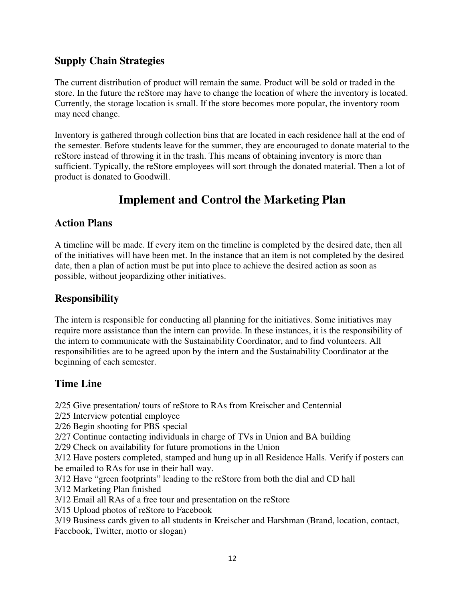### **Supply Chain Strategies**

The current distribution of product will remain the same. Product will be sold or traded in the store. In the future the reStore may have to change the location of where the inventory is located. Currently, the storage location is small. If the store becomes more popular, the inventory room may need change.

Inventory is gathered through collection bins that are located in each residence hall at the end of the semester. Before students leave for the summer, they are encouraged to donate material to the reStore instead of throwing it in the trash. This means of obtaining inventory is more than sufficient. Typically, the reStore employees will sort through the donated material. Then a lot of product is donated to Goodwill.

### **Implement and Control the Marketing Plan**

### **Action Plans**

A timeline will be made. If every item on the timeline is completed by the desired date, then all of the initiatives will have been met. In the instance that an item is not completed by the desired date, then a plan of action must be put into place to achieve the desired action as soon as possible, without jeopardizing other initiatives.

### **Responsibility**

The intern is responsible for conducting all planning for the initiatives. Some initiatives may require more assistance than the intern can provide. In these instances, it is the responsibility of the intern to communicate with the Sustainability Coordinator, and to find volunteers. All responsibilities are to be agreed upon by the intern and the Sustainability Coordinator at the beginning of each semester.

### **Time Line**

2/25 Give presentation/ tours of reStore to RAs from Kreischer and Centennial 2/25 Interview potential employee 2/26 Begin shooting for PBS special 2/27 Continue contacting individuals in charge of TVs in Union and BA building 2/29 Check on availability for future promotions in the Union 3/12 Have posters completed, stamped and hung up in all Residence Halls. Verify if posters can be emailed to RAs for use in their hall way. 3/12 Have "green footprints" leading to the reStore from both the dial and CD hall 3/12 Marketing Plan finished 3/12 Email all RAs of a free tour and presentation on the reStore 3/15 Upload photos of reStore to Facebook 3/19 Business cards given to all students in Kreischer and Harshman (Brand, location, contact, Facebook, Twitter, motto or slogan)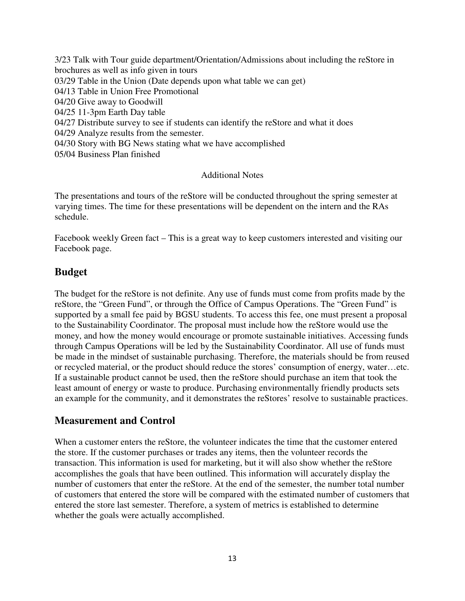3/23 Talk with Tour guide department/Orientation/Admissions about including the reStore in brochures as well as info given in tours 03/29 Table in the Union (Date depends upon what table we can get) 04/13 Table in Union Free Promotional 04/20 Give away to Goodwill 04/25 11-3pm Earth Day table 04/27 Distribute survey to see if students can identify the reStore and what it does 04/29 Analyze results from the semester. 04/30 Story with BG News stating what we have accomplished 05/04 Business Plan finished

#### Additional Notes

The presentations and tours of the reStore will be conducted throughout the spring semester at varying times. The time for these presentations will be dependent on the intern and the RAs schedule.

Facebook weekly Green fact – This is a great way to keep customers interested and visiting our Facebook page.

#### **Budget**

The budget for the reStore is not definite. Any use of funds must come from profits made by the reStore, the "Green Fund", or through the Office of Campus Operations. The "Green Fund" is supported by a small fee paid by BGSU students. To access this fee, one must present a proposal to the Sustainability Coordinator. The proposal must include how the reStore would use the money, and how the money would encourage or promote sustainable initiatives. Accessing funds through Campus Operations will be led by the Sustainability Coordinator. All use of funds must be made in the mindset of sustainable purchasing. Therefore, the materials should be from reused or recycled material, or the product should reduce the stores' consumption of energy, water…etc. If a sustainable product cannot be used, then the reStore should purchase an item that took the least amount of energy or waste to produce. Purchasing environmentally friendly products sets an example for the community, and it demonstrates the reStores' resolve to sustainable practices.

#### **Measurement and Control**

When a customer enters the reStore, the volunteer indicates the time that the customer entered the store. If the customer purchases or trades any items, then the volunteer records the transaction. This information is used for marketing, but it will also show whether the reStore accomplishes the goals that have been outlined. This information will accurately display the number of customers that enter the reStore. At the end of the semester, the number total number of customers that entered the store will be compared with the estimated number of customers that entered the store last semester. Therefore, a system of metrics is established to determine whether the goals were actually accomplished.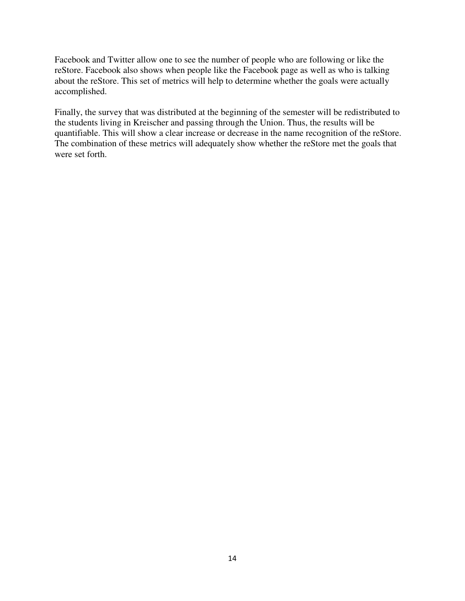Facebook and Twitter allow one to see the number of people who are following or like the reStore. Facebook also shows when people like the Facebook page as well as who is talking about the reStore. This set of metrics will help to determine whether the goals were actually accomplished.

Finally, the survey that was distributed at the beginning of the semester will be redistributed to the students living in Kreischer and passing through the Union. Thus, the results will be quantifiable. This will show a clear increase or decrease in the name recognition of the reStore. The combination of these metrics will adequately show whether the reStore met the goals that were set forth.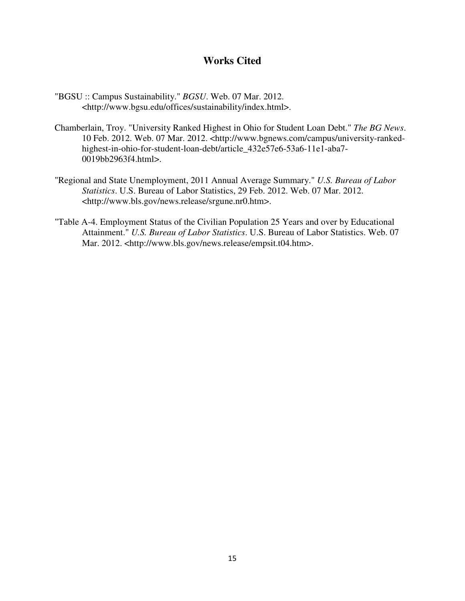#### **Works Cited**

- "BGSU :: Campus Sustainability." *BGSU*. Web. 07 Mar. 2012. <http://www.bgsu.edu/offices/sustainability/index.html>.
- Chamberlain, Troy. "University Ranked Highest in Ohio for Student Loan Debt." *The BG News*. 10 Feb. 2012. Web. 07 Mar. 2012. <http://www.bgnews.com/campus/university-rankedhighest-in-ohio-for-student-loan-debt/article\_432e57e6-53a6-11e1-aba7- 0019bb2963f4.html>.
- "Regional and State Unemployment, 2011 Annual Average Summary." *U.S. Bureau of Labor Statistics*. U.S. Bureau of Labor Statistics, 29 Feb. 2012. Web. 07 Mar. 2012. <http://www.bls.gov/news.release/srgune.nr0.htm>.
- "Table A-4. Employment Status of the Civilian Population 25 Years and over by Educational Attainment." *U.S. Bureau of Labor Statistics*. U.S. Bureau of Labor Statistics. Web. 07 Mar. 2012. <http://www.bls.gov/news.release/empsit.t04.htm>.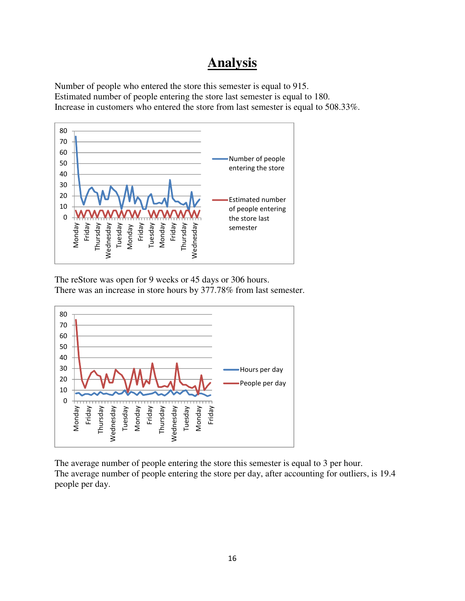## **Analysis**

Number of people who entered the store this semester is equal to 915. Estimated number of people entering the store last semester is equal to 180. Increase in customers who entered the store from last semester is equal to 508.33%.



The reStore was open for 9 weeks or 45 days or 306 hours. There was an increase in store hours by 377.78% from last semester.



The average number of people entering the store this semester is equal to 3 per hour. The average number of people entering the store per day, after accounting for outliers, is 19.4 people per day.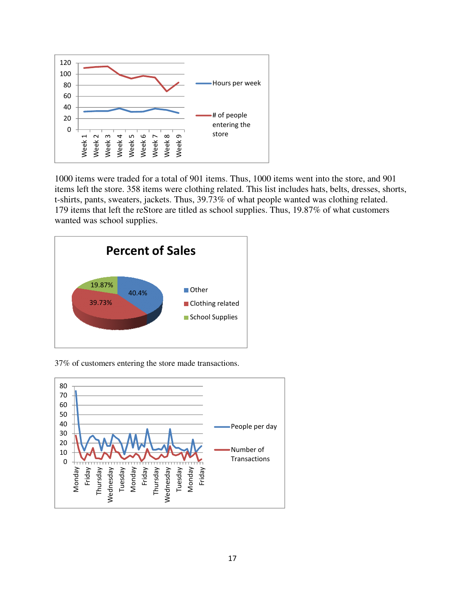

1000 items were traded for a total of 901 items. Thus, 1000 items went into the store, and 901 items left the store. 358 items were clothing related. This list includes hats, belts, dresses, shorts, t-shirts, pants, sweaters, jackets. Thus, 39.73% of what people wanted was clothing related. 179 items that left the reStore are titled as school supplies. Thus, 19.87% of what customers wanted was school supplies.



37% of customers entering the store made transactions

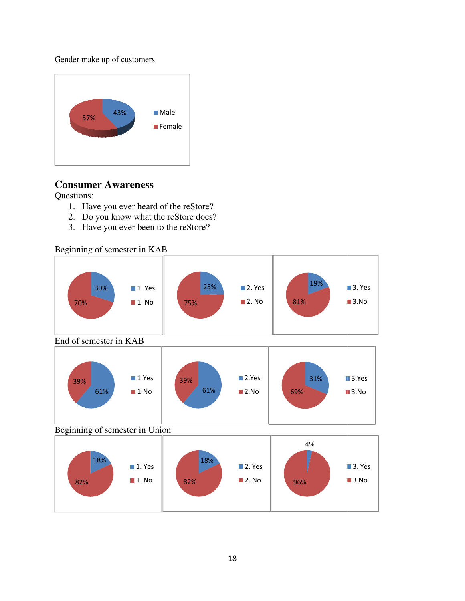Gender make up of customers



#### **Consumer Awareness**

Questions:

- 1. Have you ever heard of the reStore?
- 2. Do you know what the reStore does?
- 1. Have you ever heard of the reStore<br>2. Do you know what the reStore doe:<br>3. Have you ever been to the reStore?

Beginning of semester in KAB

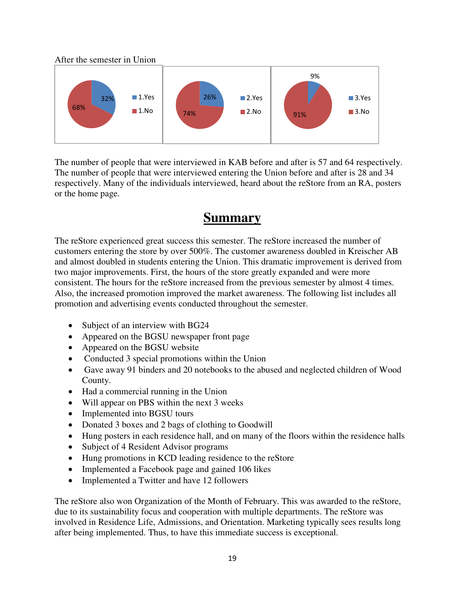After the semester in Union



The number of people that were interviewed in KAB before and after is 57 and 64 respectively. The number of people that were interviewed entering the Union before and after is 28 and 34 respectively. Many of the individuals interviewed, heard about the reStore from an RA, posters or the home page.

### **Summary**

The reStore experienced great success this semester. The reStore increased the number of customers entering the store by over 500%. The customer awareness doubled in Kreischer AB and almost doubled in students entering the Union. This dramatic improvement is derived from two major improvements. First, the hours of the store greatly expanded and were more consistent. The hours for the reStore increased from the previous semester by almost 4 times. Also, the increased promotion improved the market awareness. The following list includes all promotion and advertising events conducted throughout the semester.

- Subject of an interview with BG24
- Appeared on the BGSU newspaper front page
- Appeared on the BGSU website
- Conducted 3 special promotions within the Union
- Gave away 91 binders and 20 notebooks to the abused and neglected children of Wood County.
- Had a commercial running in the Union
- Will appear on PBS within the next 3 weeks
- Implemented into BGSU tours
- Donated 3 boxes and 2 bags of clothing to Goodwill
- Hung posters in each residence hall, and on many of the floors within the residence halls
- Subject of 4 Resident Advisor programs
- Hung promotions in KCD leading residence to the reStore
- Implemented a Facebook page and gained 106 likes
- Implemented a Twitter and have 12 followers

The reStore also won Organization of the Month of February. This was awarded to the reStore, due to its sustainability focus and cooperation with multiple departments. The reStore was involved in Residence Life, Admissions, and Orientation. Marketing typically sees results long after being implemented. Thus, to have this immediate success is exceptional.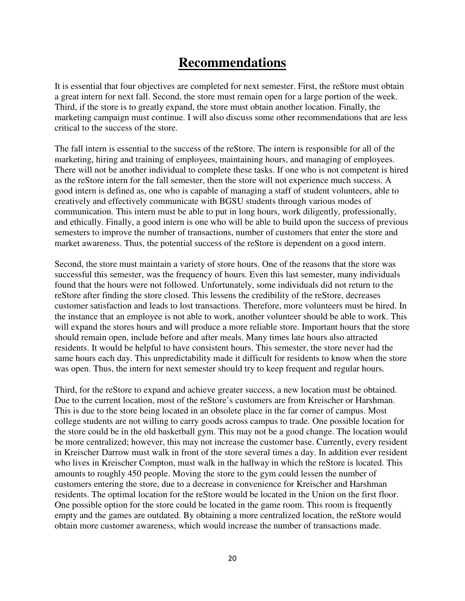## **Recommendations**

It is essential that four objectives are completed for next semester. First, the reStore must obtain a great intern for next fall. Second, the store must remain open for a large portion of the week. Third, if the store is to greatly expand, the store must obtain another location. Finally, the marketing campaign must continue. I will also discuss some other recommendations that are less critical to the success of the store.

The fall intern is essential to the success of the reStore. The intern is responsible for all of the marketing, hiring and training of employees, maintaining hours, and managing of employees. There will not be another individual to complete these tasks. If one who is not competent is hired as the reStore intern for the fall semester, then the store will not experience much success. A good intern is defined as, one who is capable of managing a staff of student volunteers, able to creatively and effectively communicate with BGSU students through various modes of communication. This intern must be able to put in long hours, work diligently, professionally, and ethically. Finally, a good intern is one who will be able to build upon the success of previous semesters to improve the number of transactions, number of customers that enter the store and market awareness. Thus, the potential success of the reStore is dependent on a good intern.

Second, the store must maintain a variety of store hours. One of the reasons that the store was successful this semester, was the frequency of hours. Even this last semester, many individuals found that the hours were not followed. Unfortunately, some individuals did not return to the reStore after finding the store closed. This lessens the credibility of the reStore, decreases customer satisfaction and leads to lost transactions. Therefore, more volunteers must be hired. In the instance that an employee is not able to work, another volunteer should be able to work. This will expand the stores hours and will produce a more reliable store. Important hours that the store should remain open, include before and after meals. Many times late hours also attracted residents. It would be helpful to have consistent hours. This semester, the store never had the same hours each day. This unpredictability made it difficult for residents to know when the store was open. Thus, the intern for next semester should try to keep frequent and regular hours.

Third, for the reStore to expand and achieve greater success, a new location must be obtained. Due to the current location, most of the reStore's customers are from Kreischer or Harshman. This is due to the store being located in an obsolete place in the far corner of campus. Most college students are not willing to carry goods across campus to trade. One possible location for the store could be in the old basketball gym. This may not be a good change. The location would be more centralized; however, this may not increase the customer base. Currently, every resident in Kreischer Darrow must walk in front of the store several times a day. In addition ever resident who lives in Kreischer Compton, must walk in the hallway in which the reStore is located. This amounts to roughly 450 people. Moving the store to the gym could lessen the number of customers entering the store, due to a decrease in convenience for Kreischer and Harshman residents. The optimal location for the reStore would be located in the Union on the first floor. One possible option for the store could be located in the game room. This room is frequently empty and the games are outdated. By obtaining a more centralized location, the reStore would obtain more customer awareness, which would increase the number of transactions made.